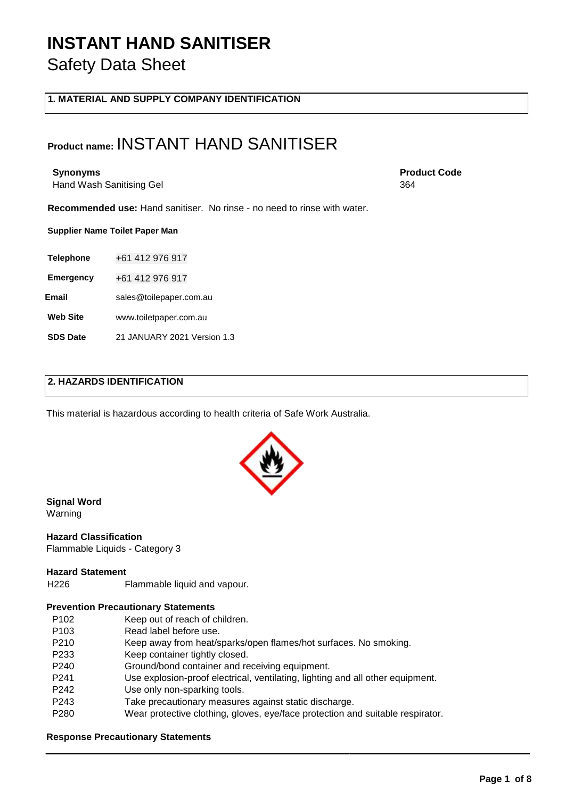**1. MATERIAL AND SUPPLY COMPANY IDENTIFICATION** 

### **Product name:** INSTANT HAND SANITISER

Hand Wash Sanitising Gel

**Recommended use:** Hand sanitiser. No rinse - no need to rinse with water.

**Supplier Name Toilet Paper Man**

**Telephone** +61 412 976 917

**Emergency** +61 412 976 917

**Email** sales@toilepaper.com.au

**Web Site** www.toiletpaper.com.au

**SDS Date** 21 JANUARY 2021 Version 1.3

**Synonyms** Product Code **Product Code Product Code Product Code** 364

### **2. HAZARDS IDENTIFICATION**

This material is hazardous according to health criteria of Safe Work Australia.

**Signal Word**  Warning

#### **Hazard Classification**

Flammable Liquids - Category 3

#### **Hazard Statement**

H226 Flammable liquid and vapour.

#### **Prevention Precautionary Statements**

- P102 Keep out of reach of children.
- P103 Read label before use.
- P210 Keep away from heat/sparks/open flames/hot surfaces. No smoking.
- P233 Keep container tightly closed.
- P240 Ground/bond container and receiving equipment.
- P241 Use explosion-proof electrical, ventilating, lighting and all other equipment.
- P242 Use only non-sparking tools.
- P243 Take precautionary measures against static discharge.
- P280 Wear protective clothing, gloves, eye/face protection and suitable respirator.

#### **Response Precautionary Statements**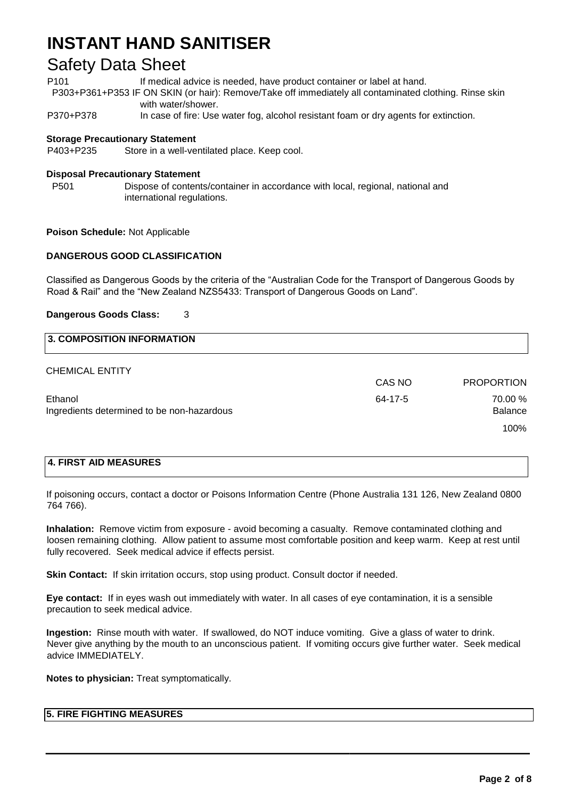### Safety Data Sheet

P101 **If medical advice is needed, have product container or label at hand.** 

P303+P361+P353 IF ON SKIN (or hair): Remove/Take off immediately all contaminated clothing. Rinse skin with water/shower.

P370+P378 In case of fire: Use water fog, alcohol resistant foam or dry agents for extinction.

#### **Storage Precautionary Statement**

P403+P235 Store in a well-ventilated place. Keep cool.

#### **Disposal Precautionary Statement**

P501 Dispose of contents/container in accordance with local, regional, national and international regulations.

**Poison Schedule:** Not Applicable

#### **DANGEROUS GOOD CLASSIFICATION**

Classified as Dangerous Goods by the criteria of the "Australian Code for the Transport of Dangerous Goods by Road & Rail" and the "New Zealand NZS5433: Transport of Dangerous Goods on Land".

#### **Dangerous Goods Class:** 3

# **3. COMPOSITION INFORMATION**

|                                            | CAS NO  | <b>PROPORTION</b> |
|--------------------------------------------|---------|-------------------|
| Ethanol                                    | 64-17-5 | 70.00 %           |
| Ingredients determined to be non-hazardous |         | <b>Balance</b>    |
|                                            |         | 100%              |

#### **4. FIRST AID MEASURES**

CHEMICAL ENTITY

If poisoning occurs, contact a doctor or Poisons Information Centre (Phone Australia 131 126, New Zealand 0800 764 766).

**Inhalation:** Remove victim from exposure - avoid becoming a casualty. Remove contaminated clothing and loosen remaining clothing. Allow patient to assume most comfortable position and keep warm. Keep at rest until fully recovered. Seek medical advice if effects persist.

**Skin Contact:** If skin irritation occurs, stop using product. Consult doctor if needed.

**Eye contact:** If in eyes wash out immediately with water. In all cases of eye contamination, it is a sensible precaution to seek medical advice.

**Ingestion:** Rinse mouth with water. If swallowed, do NOT induce vomiting. Give a glass of water to drink. Never give anything by the mouth to an unconscious patient. If vomiting occurs give further water. Seek medical advice IMMEDIATELY.

**Notes to physician:** Treat symptomatically.

#### **5. FIRE FIGHTING MEASURES**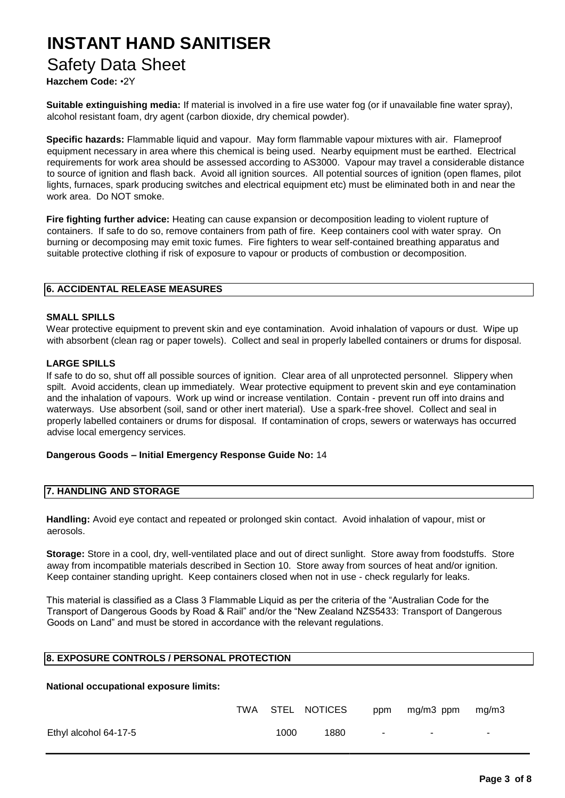### Safety Data Sheet

### **Hazchem Code:** •2Y

**Suitable extinguishing media:** If material is involved in a fire use water fog (or if unavailable fine water spray), alcohol resistant foam, dry agent (carbon dioxide, dry chemical powder).

**Specific hazards:** Flammable liquid and vapour. May form flammable vapour mixtures with air. Flameproof equipment necessary in area where this chemical is being used. Nearby equipment must be earthed. Electrical requirements for work area should be assessed according to AS3000. Vapour may travel a considerable distance to source of ignition and flash back. Avoid all ignition sources. All potential sources of ignition (open flames, pilot lights, furnaces, spark producing switches and electrical equipment etc) must be eliminated both in and near the work area. Do NOT smoke.

**Fire fighting further advice:** Heating can cause expansion or decomposition leading to violent rupture of containers. If safe to do so, remove containers from path of fire. Keep containers cool with water spray. On burning or decomposing may emit toxic fumes. Fire fighters to wear self-contained breathing apparatus and suitable protective clothing if risk of exposure to vapour or products of combustion or decomposition.

#### **6. ACCIDENTAL RELEASE MEASURES**

#### **SMALL SPILLS**

Wear protective equipment to prevent skin and eye contamination. Avoid inhalation of vapours or dust. Wipe up with absorbent (clean rag or paper towels). Collect and seal in properly labelled containers or drums for disposal.

#### **LARGE SPILLS**

If safe to do so, shut off all possible sources of ignition. Clear area of all unprotected personnel. Slippery when spilt. Avoid accidents, clean up immediately. Wear protective equipment to prevent skin and eye contamination and the inhalation of vapours. Work up wind or increase ventilation. Contain - prevent run off into drains and waterways. Use absorbent (soil, sand or other inert material). Use a spark-free shovel. Collect and seal in properly labelled containers or drums for disposal. If contamination of crops, sewers or waterways has occurred advise local emergency services.

#### **Dangerous Goods – Initial Emergency Response Guide No:** 14

#### **7. HANDLING AND STORAGE**

**Handling:** Avoid eye contact and repeated or prolonged skin contact. Avoid inhalation of vapour, mist or aerosols.

**Storage:** Store in a cool, dry, well-ventilated place and out of direct sunlight. Store away from foodstuffs. Store away from incompatible materials described in Section 10. Store away from sources of heat and/or ignition. Keep container standing upright. Keep containers closed when not in use - check regularly for leaks.

This material is classified as a Class 3 Flammable Liquid as per the criteria of the "Australian Code for the Transport of Dangerous Goods by Road & Rail" and/or the "New Zealand NZS5433: Transport of Dangerous Goods on Land" and must be stored in accordance with the relevant regulations.

#### **8. EXPOSURE CONTROLS / PERSONAL PROTECTION**

**National occupational exposure limits:** 

|                       |      | TWA STEL NOTICES |        | ppm mg/m3 ppm | mg/m3 |
|-----------------------|------|------------------|--------|---------------|-------|
| Ethyl alcohol 64-17-5 | 1000 | 1880             | $\sim$ |               |       |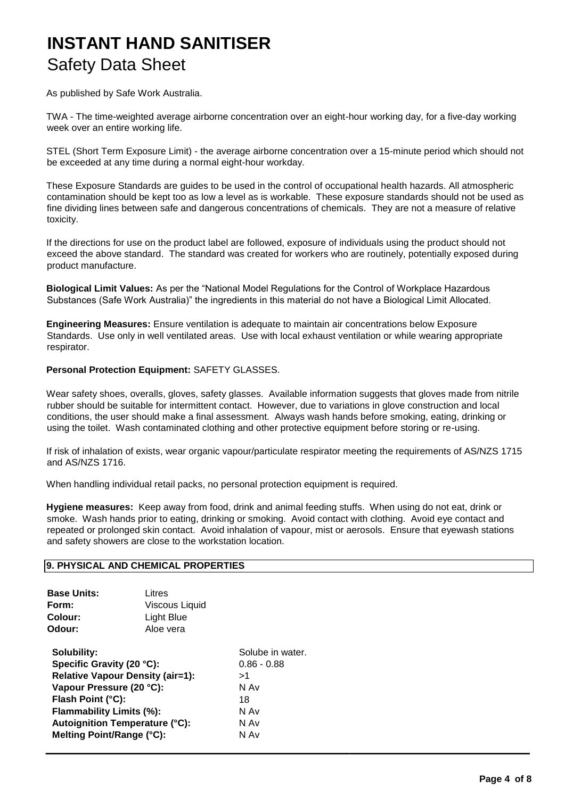As published by Safe Work Australia.

TWA - The time-weighted average airborne concentration over an eight-hour working day, for a five-day working week over an entire working life.

STEL (Short Term Exposure Limit) - the average airborne concentration over a 15-minute period which should not be exceeded at any time during a normal eight-hour workday.

These Exposure Standards are guides to be used in the control of occupational health hazards. All atmospheric contamination should be kept too as low a level as is workable. These exposure standards should not be used as fine dividing lines between safe and dangerous concentrations of chemicals. They are not a measure of relative toxicity.

If the directions for use on the product label are followed, exposure of individuals using the product should not exceed the above standard. The standard was created for workers who are routinely, potentially exposed during product manufacture.

**Biological Limit Values:** As per the "National Model Regulations for the Control of Workplace Hazardous Substances (Safe Work Australia)" the ingredients in this material do not have a Biological Limit Allocated.

**Engineering Measures:** Ensure ventilation is adequate to maintain air concentrations below Exposure Standards. Use only in well ventilated areas. Use with local exhaust ventilation or while wearing appropriate respirator.

#### **Personal Protection Equipment:** SAFETY GLASSES.

Wear safety shoes, overalls, gloves, safety glasses. Available information suggests that gloves made from nitrile rubber should be suitable for intermittent contact. However, due to variations in glove construction and local conditions, the user should make a final assessment. Always wash hands before smoking, eating, drinking or using the toilet. Wash contaminated clothing and other protective equipment before storing or re-using.

If risk of inhalation of exists, wear organic vapour/particulate respirator meeting the requirements of AS/NZS 1715 and AS/NZS 1716.

When handling individual retail packs, no personal protection equipment is required.

**Hygiene measures:** Keep away from food, drink and animal feeding stuffs. When using do not eat, drink or smoke. Wash hands prior to eating, drinking or smoking. Avoid contact with clothing. Avoid eye contact and repeated or prolonged skin contact. Avoid inhalation of vapour, mist or aerosols. Ensure that eyewash stations and safety showers are close to the workstation location.

#### **9. PHYSICAL AND CHEMICAL PROPERTIES**

| <b>Colour:</b><br><b>Light Blue</b><br>Odour:<br>Aloe vera<br>Solubility:<br>Specific Gravity (20 °C):<br>$0.86 - 0.88$<br><b>Relative Vapour Density (air=1):</b><br>>1<br>Vapour Pressure (20 °C):<br>N Av<br>Flash Point (°C):<br>18<br>Flammability Limits (%):<br>N Av<br>Autoignition Temperature (°C):<br>N Av<br>Melting Point/Range (°C):<br>N Av | <b>Base Units:</b><br>Form: | Litres<br>Viscous Liquid |                  |
|------------------------------------------------------------------------------------------------------------------------------------------------------------------------------------------------------------------------------------------------------------------------------------------------------------------------------------------------------------|-----------------------------|--------------------------|------------------|
|                                                                                                                                                                                                                                                                                                                                                            |                             |                          |                  |
|                                                                                                                                                                                                                                                                                                                                                            |                             |                          | Solube in water. |
|                                                                                                                                                                                                                                                                                                                                                            |                             |                          |                  |
|                                                                                                                                                                                                                                                                                                                                                            |                             |                          |                  |
|                                                                                                                                                                                                                                                                                                                                                            |                             |                          |                  |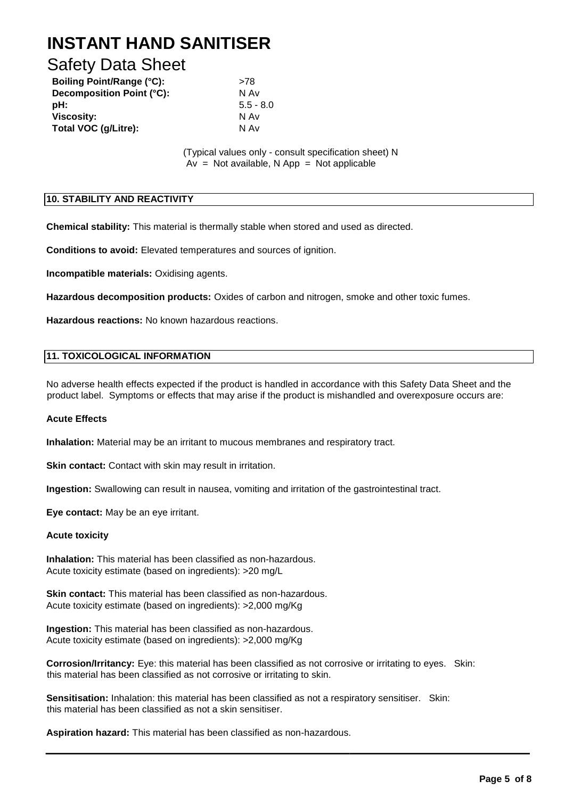### Safety Data Sheet

| <b>Boiling Point/Range (°C):</b> | >78         |
|----------------------------------|-------------|
| Decomposition Point (°C):        | N Av        |
| pH:                              | $5.5 - 8.0$ |
| <b>Viscosity:</b>                | N Av        |
| Total VOC (g/Litre):             | N Av        |

(Typical values only - consult specification sheet) N  $Av = Not available, N App = Not applicable$ 

#### **10. STABILITY AND REACTIVITY**

**Chemical stability:** This material is thermally stable when stored and used as directed.

**Conditions to avoid:** Elevated temperatures and sources of ignition.

**Incompatible materials:** Oxidising agents.

**Hazardous decomposition products:** Oxides of carbon and nitrogen, smoke and other toxic fumes.

**Hazardous reactions:** No known hazardous reactions.

#### **11. TOXICOLOGICAL INFORMATION**

No adverse health effects expected if the product is handled in accordance with this Safety Data Sheet and the product label. Symptoms or effects that may arise if the product is mishandled and overexposure occurs are:

#### **Acute Effects**

**Inhalation:** Material may be an irritant to mucous membranes and respiratory tract.

**Skin contact:** Contact with skin may result in irritation.

**Ingestion:** Swallowing can result in nausea, vomiting and irritation of the gastrointestinal tract.

**Eye contact:** May be an eye irritant.

#### **Acute toxicity**

**Inhalation:** This material has been classified as non-hazardous. Acute toxicity estimate (based on ingredients): >20 mg/L

**Skin contact:** This material has been classified as non-hazardous. Acute toxicity estimate (based on ingredients): >2,000 mg/Kg

**Ingestion:** This material has been classified as non-hazardous. Acute toxicity estimate (based on ingredients): >2,000 mg/Kg

**Corrosion/Irritancy:** Eye: this material has been classified as not corrosive or irritating to eyes. Skin: this material has been classified as not corrosive or irritating to skin.

**Sensitisation:** Inhalation: this material has been classified as not a respiratory sensitiser. Skin: this material has been classified as not a skin sensitiser.

**Aspiration hazard:** This material has been classified as non-hazardous.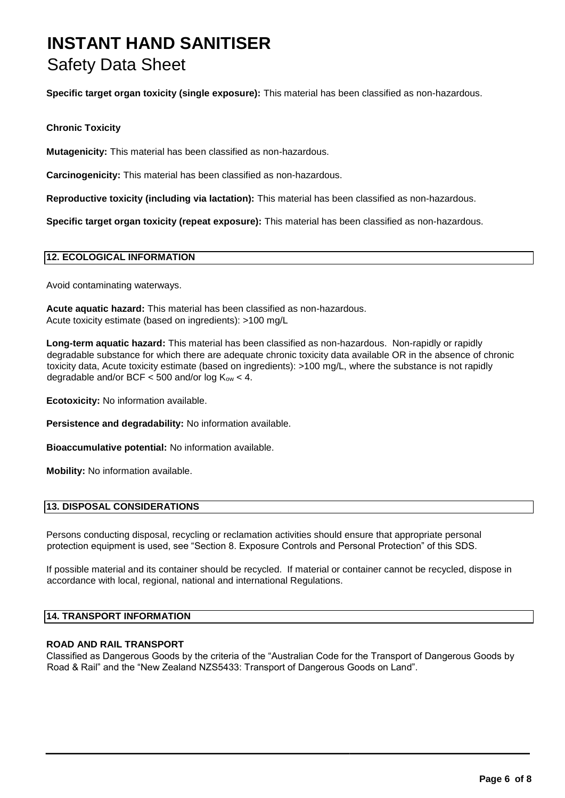**Specific target organ toxicity (single exposure):** This material has been classified as non-hazardous.

#### **Chronic Toxicity**

**Mutagenicity:** This material has been classified as non-hazardous.

**Carcinogenicity:** This material has been classified as non-hazardous.

**Reproductive toxicity (including via lactation):** This material has been classified as non-hazardous.

**Specific target organ toxicity (repeat exposure):** This material has been classified as non-hazardous.

#### **12. ECOLOGICAL INFORMATION**

Avoid contaminating waterways.

**Acute aquatic hazard:** This material has been classified as non-hazardous. Acute toxicity estimate (based on ingredients): >100 mg/L

**Long-term aquatic hazard:** This material has been classified as non-hazardous. Non-rapidly or rapidly degradable substance for which there are adequate chronic toxicity data available OR in the absence of chronic toxicity data, Acute toxicity estimate (based on ingredients): >100 mg/L, where the substance is not rapidly degradable and/or BCF  $<$  500 and/or log  $K_{ow}$   $<$  4.

**Ecotoxicity:** No information available.

**Persistence and degradability:** No information available.

**Bioaccumulative potential:** No information available.

**Mobility:** No information available.

#### **13. DISPOSAL CONSIDERATIONS**

Persons conducting disposal, recycling or reclamation activities should ensure that appropriate personal protection equipment is used, see "Section 8. Exposure Controls and Personal Protection" of this SDS.

If possible material and its container should be recycled. If material or container cannot be recycled, dispose in accordance with local, regional, national and international Regulations.

#### **14. TRANSPORT INFORMATION**

#### **ROAD AND RAIL TRANSPORT**

Classified as Dangerous Goods by the criteria of the "Australian Code for the Transport of Dangerous Goods by Road & Rail" and the "New Zealand NZS5433: Transport of Dangerous Goods on Land".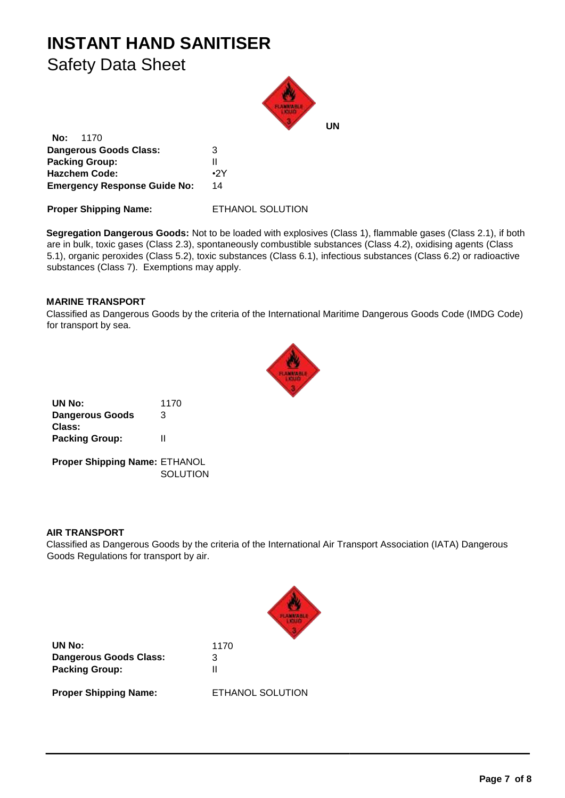

**No:** 1170 **Dangerous Goods Class:** 3 **Packing Group:** II **Hazchem Code:** •2Y **Emergency Response Guide No:** 14

**Proper Shipping Name:** ETHANOL SOLUTION

**Segregation Dangerous Goods:** Not to be loaded with explosives (Class 1), flammable gases (Class 2.1), if both are in bulk, toxic gases (Class 2.3), spontaneously combustible substances (Class 4.2), oxidising agents (Class 5.1), organic peroxides (Class 5.2), toxic substances (Class 6.1), infectious substances (Class 6.2) or radioactive substances (Class 7). Exemptions may apply.

#### **MARINE TRANSPORT**

Classified as Dangerous Goods by the criteria of the International Maritime Dangerous Goods Code (IMDG Code) for transport by sea.



| UN No:                        | 1170            |
|-------------------------------|-----------------|
| <b>Dangerous Goods</b>        | 3               |
| Class:                        |                 |
| <b>Packing Group:</b>         | Ш               |
| Proper Shipping Name: ETHANOL |                 |
|                               | <b>SOLUTION</b> |

#### **AIR TRANSPORT**

Classified as Dangerous Goods by the criteria of the International Air Transport Association (IATA) Dangerous Goods Regulations for transport by air.



**UN No:** 1170 **Dangerous Goods Class:** 3 **Packing Group:** II

**Proper Shipping Name:** ETHANOL SOLUTION